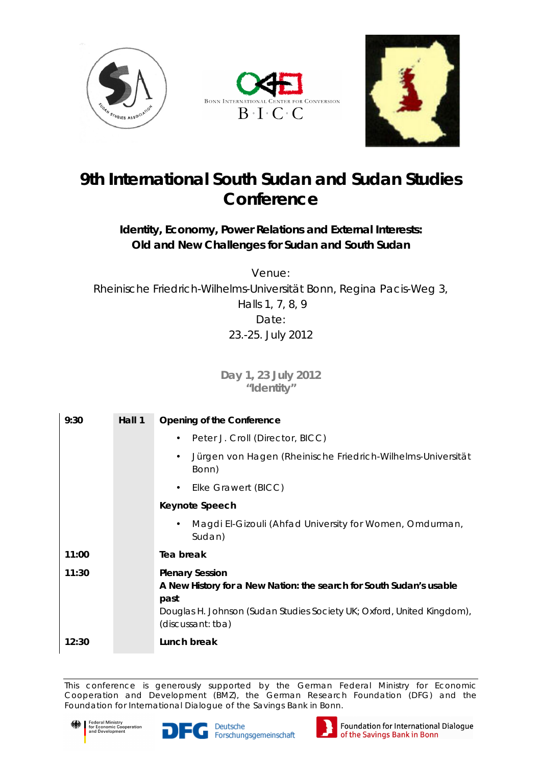





## **9th International South Sudan and Sudan Studies Conference**

*Identity, Economy, Power Relations and External Interests: Old and New Challenges for Sudan and South Sudan*

*Venue: Rheinische Friedrich-Wilhelms-Universität Bonn, Regina Pacis-Weg 3, Halls 1, 7, 8, 9 Date: 23.-25. July 2012*

> **Day 1, 23 July 2012 "Identity"**

| 9:30  | Hall 1 | Opening of the Conference                                                                                                                                                                            |
|-------|--------|------------------------------------------------------------------------------------------------------------------------------------------------------------------------------------------------------|
|       |        | Peter J. Croll (Director, BICC)                                                                                                                                                                      |
|       |        | Jürgen von Hagen (Rheinische Friedrich-Wilhelms-Universität<br>Bonn)                                                                                                                                 |
|       |        | Elke Grawert (BICC)                                                                                                                                                                                  |
|       |        | Keynote Speech                                                                                                                                                                                       |
|       |        | Magdi El-Gizouli (Ahfad University for Women, Omdurman,<br>Sudan)                                                                                                                                    |
| 11:00 |        | Tea break                                                                                                                                                                                            |
| 11:30 |        | <b>Plenary Session</b><br>A New History for a New Nation: the search for South Sudan's usable<br>past<br>Douglas H. Johnson (Sudan Studies Society UK; Oxford, United Kingdom),<br>(discussant: tba) |
| 12:30 |        | Lunch break                                                                                                                                                                                          |

This conference is generously supported by the German Federal Ministry for Economic Cooperation and Development (BMZ), the German Research Foundation (DFG) and the Foundation for International Dialogue of the Savings Bank in Bonn.







Foundation for International Dialogue of the Savings Bank in Bonn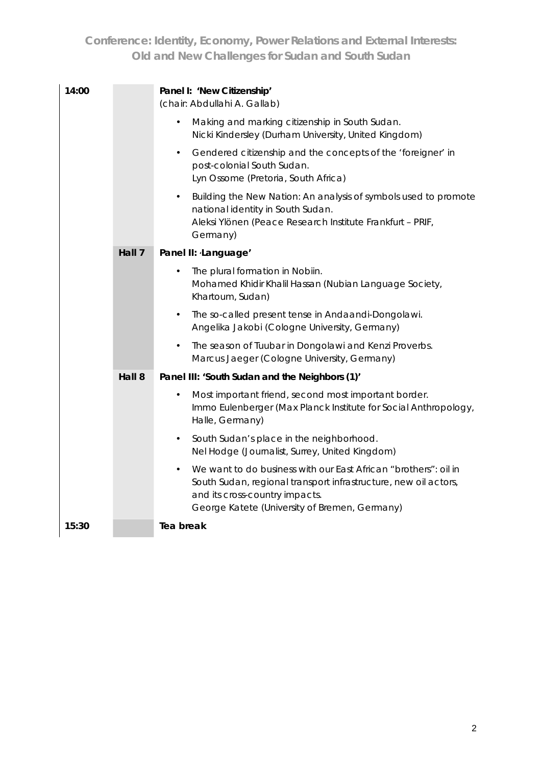| 14:00 |        | Panel I: 'New Citizenship'<br>(chair: Abdullahi A. Gallab)                                                                                                                                                                         |
|-------|--------|------------------------------------------------------------------------------------------------------------------------------------------------------------------------------------------------------------------------------------|
|       |        | Making and marking citizenship in South Sudan.<br>$\bullet$<br>Nicki Kindersley (Durham University, United Kingdom)                                                                                                                |
|       |        | Gendered citizenship and the concepts of the 'foreigner' in<br>$\bullet$<br>post-colonial South Sudan.<br>Lyn Ossome (Pretoria, South Africa)                                                                                      |
|       |        | Building the New Nation: An analysis of symbols used to promote<br>$\bullet$<br>national identity in South Sudan.<br>Aleksi Ylönen (Peace Research Institute Frankfurt - PRIF,<br>Germany)                                         |
|       | Hall 7 | Panel II: Language'                                                                                                                                                                                                                |
|       |        | The plural formation in Nobiin.<br>Mohamed Khidir Khalil Hassan (Nubian Language Society,<br>Khartoum, Sudan)                                                                                                                      |
|       |        | The so-called present tense in Andaandi-Dongolawi.<br>$\bullet$<br>Angelika Jakobi (Cologne University, Germany)                                                                                                                   |
|       |        | The season of Tuubar in Dongolawi and Kenzi Proverbs.<br>$\bullet$<br>Marcus Jaeger (Cologne University, Germany)                                                                                                                  |
|       | Hall 8 | Panel III: 'South Sudan and the Neighbors (1)'                                                                                                                                                                                     |
|       |        | Most important friend, second most important border.<br>$\bullet$<br>Immo Eulenberger (Max Planck Institute for Social Anthropology,<br>Halle, Germany)                                                                            |
|       |        | South Sudan's place in the neighborhood.<br>$\bullet$<br>Nel Hodge (Journalist, Surrey, United Kingdom)                                                                                                                            |
|       |        | We want to do business with our East African "brothers": oil in<br>$\bullet$<br>South Sudan, regional transport infrastructure, new oil actors,<br>and its cross-country impacts.<br>George Katete (University of Bremen, Germany) |
| 15:30 |        | Tea break                                                                                                                                                                                                                          |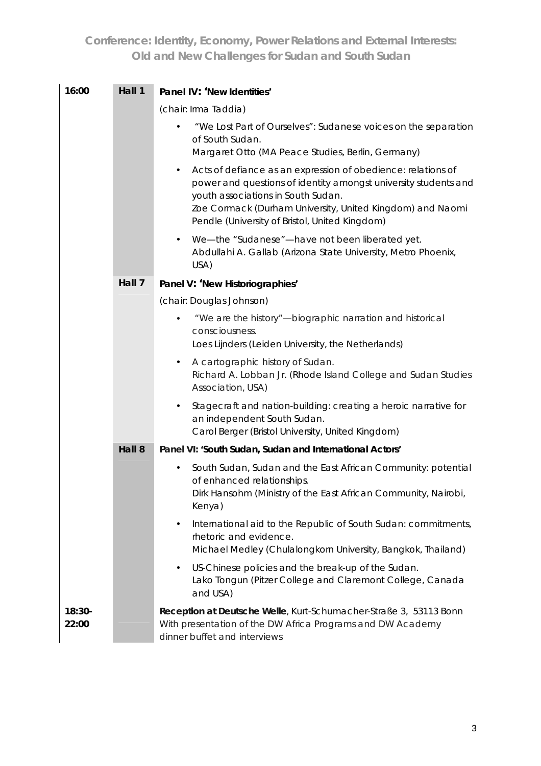| 16:00             | Hall 1 | Panel IV: 'New Identities'                                                                                                                                                                                                                                                                        |
|-------------------|--------|---------------------------------------------------------------------------------------------------------------------------------------------------------------------------------------------------------------------------------------------------------------------------------------------------|
|                   |        | (chair: Irma Taddia)                                                                                                                                                                                                                                                                              |
|                   |        | "We Lost Part of Ourselves": Sudanese voices on the separation<br>of South Sudan.<br>Margaret Otto (MA Peace Studies, Berlin, Germany)                                                                                                                                                            |
|                   |        | Acts of defiance as an expression of obedience: relations of<br>$\bullet$<br>power and questions of identity amongst university students and<br>youth associations in South Sudan.<br>Zoe Cormack (Durham University, United Kingdom) and Naomi<br>Pendle (University of Bristol, United Kingdom) |
|                   |        | We-the "Sudanese"-have not been liberated yet.<br>$\bullet$<br>Abdullahi A. Gallab (Arizona State University, Metro Phoenix,<br>USA)                                                                                                                                                              |
|                   | Hall 7 | Panel V: 'New Historiographies'                                                                                                                                                                                                                                                                   |
|                   |        | (chair: Douglas Johnson)                                                                                                                                                                                                                                                                          |
|                   |        | "We are the history"-biographic narration and historical<br>consciousness.<br>Loes Lijnders (Leiden University, the Netherlands)                                                                                                                                                                  |
|                   |        | A cartographic history of Sudan.<br>٠<br>Richard A. Lobban Jr. (Rhode Island College and Sudan Studies<br>Association, USA)                                                                                                                                                                       |
|                   |        | Stagecraft and nation-building: creating a heroic narrative for<br>an independent South Sudan.<br>Carol Berger (Bristol University, United Kingdom)                                                                                                                                               |
|                   | Hall 8 | Panel VI: 'South Sudan, Sudan and International Actors'                                                                                                                                                                                                                                           |
|                   |        | South Sudan, Sudan and the East African Community: potential<br>$\bullet$<br>of enhanced relationships.<br>Dirk Hansohm (Ministry of the East African Community, Nairobi,<br>Kenya)                                                                                                               |
|                   |        | International aid to the Republic of South Sudan: commitments,<br>$\bullet$<br>rhetoric and evidence.<br>Michael Medley (Chulalongkorn University, Bangkok, Thailand)                                                                                                                             |
|                   |        | US-Chinese policies and the break-up of the Sudan.<br>$\bullet$<br>Lako Tongun (Pitzer College and Claremont College, Canada<br>and USA)                                                                                                                                                          |
| $18:30-$<br>22:00 |        | Reception at Deutsche Welle, Kurt-Schumacher-Straße 3, 53113 Bonn<br>With presentation of the DW Africa Programs and DW Academy<br>dinner buffet and interviews                                                                                                                                   |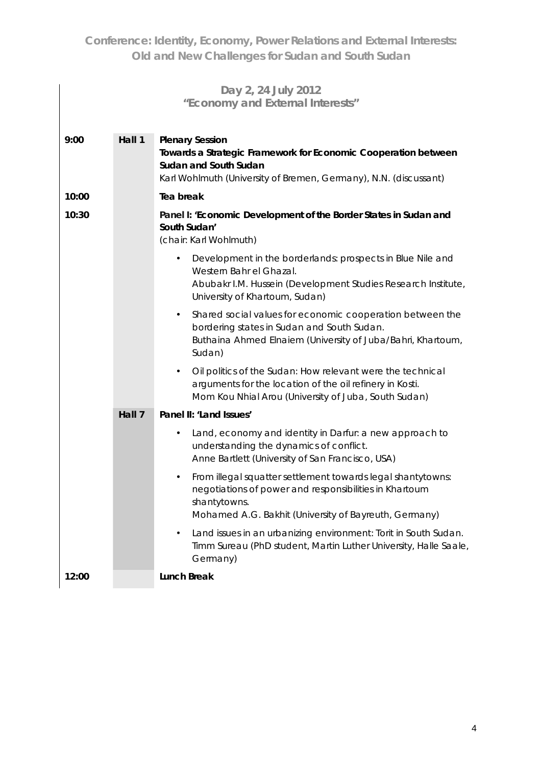|       |        | Day 2, 24 July 2012<br>"Economy and External Interests"                                                                                                                                               |
|-------|--------|-------------------------------------------------------------------------------------------------------------------------------------------------------------------------------------------------------|
| 9:00  | Hall 1 | <b>Plenary Session</b><br>Towards a Strategic Framework for Economic Cooperation between<br>Sudan and South Sudan<br>Karl Wohlmuth (University of Bremen, Germany), N.N. (discussant)                 |
| 10:00 |        | Tea break                                                                                                                                                                                             |
| 10:30 |        | Panel I: 'Economic Development of the Border States in Sudan and<br>South Sudan'<br>(chair: Karl Wohlmuth)                                                                                            |
|       |        | Development in the borderlands: prospects in Blue Nile and<br>$\bullet$<br>Western Bahr el Ghazal.<br>Abubakr I.M. Hussein (Development Studies Research Institute,<br>University of Khartoum, Sudan) |
|       |        | Shared social values for economic cooperation between the<br>$\bullet$<br>bordering states in Sudan and South Sudan.<br>Buthaina Ahmed Elnaiem (University of Juba/Bahri, Khartoum,<br>Sudan)         |
|       |        | Oil politics of the Sudan: How relevant were the technical<br>$\bullet$<br>arguments for the location of the oil refinery in Kosti.<br>Mom Kou Nhial Arou (University of Juba, South Sudan)           |
|       | Hall 7 | Panel II: 'Land Issues'                                                                                                                                                                               |
|       |        | Land, economy and identity in Darfur: a new approach to<br>$\bullet$<br>understanding the dynamics of conflict.<br>Anne Bartlett (University of San Francisco, USA)                                   |
|       |        | From illegal squatter settlement towards legal shantytowns:<br>negotiations of power and responsibilities in Khartoum<br>shantytowns.<br>Mohamed A.G. Bakhit (University of Bayreuth, Germany)        |
|       |        | Land issues in an urbanizing environment: Torit in South Sudan.<br>$\bullet$<br>Timm Sureau (PhD student, Martin Luther University, Halle Saale,<br>Germany)                                          |
| 12:00 |        | Lunch Break                                                                                                                                                                                           |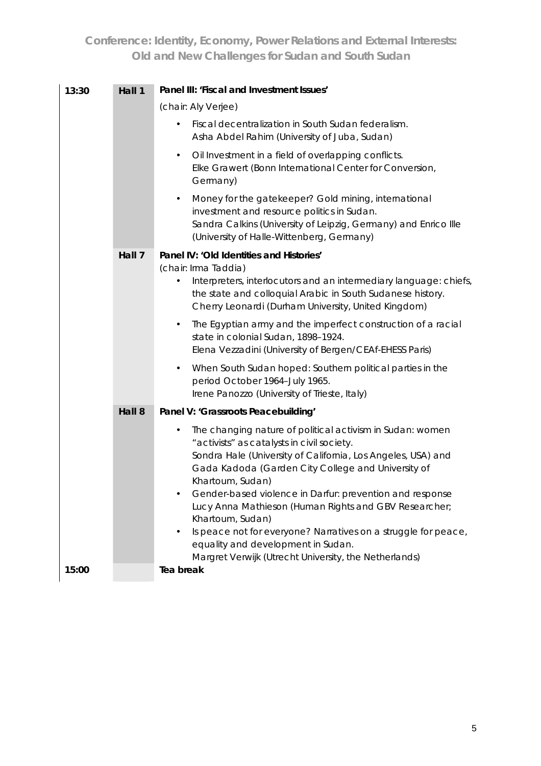| 13:30 | Hall 1 | Panel III: 'Fiscal and Investment Issues'                                                                                                                                                                                                                               |
|-------|--------|-------------------------------------------------------------------------------------------------------------------------------------------------------------------------------------------------------------------------------------------------------------------------|
|       |        | (chair: Aly Verjee)                                                                                                                                                                                                                                                     |
|       |        | Fiscal decentralization in South Sudan federalism.<br>Asha Abdel Rahim (University of Juba, Sudan)                                                                                                                                                                      |
|       |        | Oil Investment in a field of overlapping conflicts.<br>$\bullet$<br>Elke Grawert (Bonn International Center for Conversion,<br>Germany)                                                                                                                                 |
|       |        | Money for the gatekeeper? Gold mining, international<br>$\bullet$<br>investment and resource politics in Sudan.<br>Sandra Calkins (University of Leipzig, Germany) and Enrico Ille<br>(University of Halle-Wittenberg, Germany)                                         |
|       | Hall 7 | Panel IV: 'Old Identities and Histories'<br>(chair: Irma Taddia)<br>Interpreters, interlocutors and an intermediary language: chiefs,<br>$\bullet$<br>the state and colloquial Arabic in South Sudanese history.<br>Cherry Leonardi (Durham University, United Kingdom) |
|       |        | The Egyptian army and the imperfect construction of a racial<br>$\bullet$<br>state in colonial Sudan, 1898-1924.<br>Elena Vezzadini (University of Bergen/CEAf-EHESS Paris)                                                                                             |
|       |        | When South Sudan hoped: Southern political parties in the<br>$\bullet$<br>period October 1964-July 1965.<br>Irene Panozzo (University of Trieste, Italy)                                                                                                                |
|       | Hall 8 | Panel V: 'Grassroots Peacebuilding'                                                                                                                                                                                                                                     |
|       |        | The changing nature of political activism in Sudan: women<br>$\bullet$<br>"activists" as catalysts in civil society.<br>Sondra Hale (University of California, Los Angeles, USA) and<br>Gada Kadoda (Garden City College and University of<br>Khartoum, Sudan)          |
|       |        | Gender-based violence in Darfur: prevention and response<br>Lucy Anna Mathieson (Human Rights and GBV Researcher;<br>Khartoum, Sudan)<br>Is peace not for everyone? Narratives on a struggle for peace,<br>٠                                                            |
|       |        | equality and development in Sudan.                                                                                                                                                                                                                                      |
| 15:00 |        | Margret Verwijk (Utrecht University, the Netherlands)<br>Tea break                                                                                                                                                                                                      |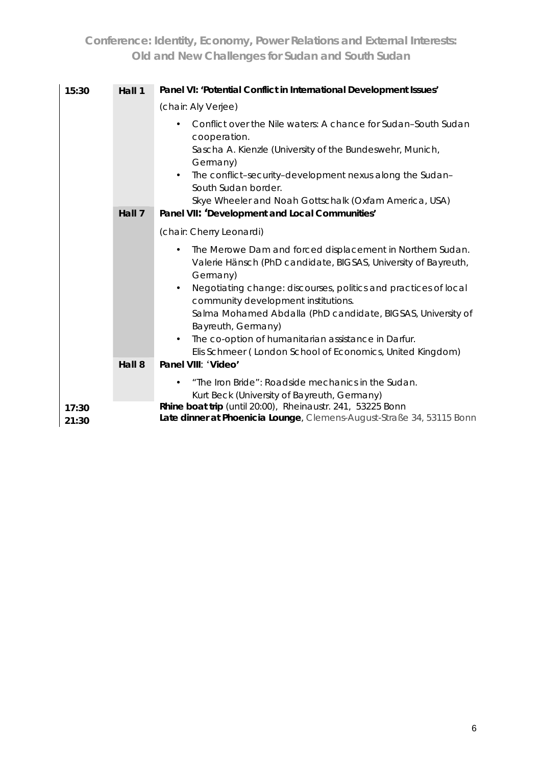| 15:30          | Hall 1 | Panel VI: 'Potential Conflict in International Development Issues'                                                                                                                                                                                                                                                                                                                                                                                         |
|----------------|--------|------------------------------------------------------------------------------------------------------------------------------------------------------------------------------------------------------------------------------------------------------------------------------------------------------------------------------------------------------------------------------------------------------------------------------------------------------------|
|                |        | (chair: Aly Verjee)                                                                                                                                                                                                                                                                                                                                                                                                                                        |
|                | Hall 7 | Conflict over the Nile waters: A chance for Sudan-South Sudan<br>cooperation.<br>Sascha A. Kienzle (University of the Bundeswehr, Munich,<br>Germany)<br>The conflict-security-development nexus along the Sudan-<br>South Sudan border.<br>Skye Wheeler and Noah Gottschalk (Oxfam America, USA)<br>Panel VII: 'Development and Local Communities'                                                                                                        |
|                |        | (chair: Cherry Leonardi)                                                                                                                                                                                                                                                                                                                                                                                                                                   |
|                |        | The Merowe Dam and forced displacement in Northern Sudan.<br>Valerie Hänsch (PhD candidate, BIGSAS, University of Bayreuth,<br>Germany)<br>Negotiating change: discourses, politics and practices of local<br>community development institutions.<br>Salma Mohamed Abdalla (PhD candidate, BIGSAS, University of<br>Bayreuth, Germany)<br>The co-option of humanitarian assistance in Darfur.<br>Elis Schmeer (London School of Economics, United Kingdom) |
|                | Hall 8 | Panel VIII: 'Video'                                                                                                                                                                                                                                                                                                                                                                                                                                        |
|                |        | "The Iron Bride": Roadside mechanics in the Sudan.<br>Kurt Beck (University of Bayreuth, Germany)                                                                                                                                                                                                                                                                                                                                                          |
| 17:30<br>21:30 |        | Rhine boat trip (until 20:00), Rheinaustr. 241, 53225 Bonn<br>Late dinner at Phoenicia Lounge, Clemens-August-Straße 34, 53115 Bonn                                                                                                                                                                                                                                                                                                                        |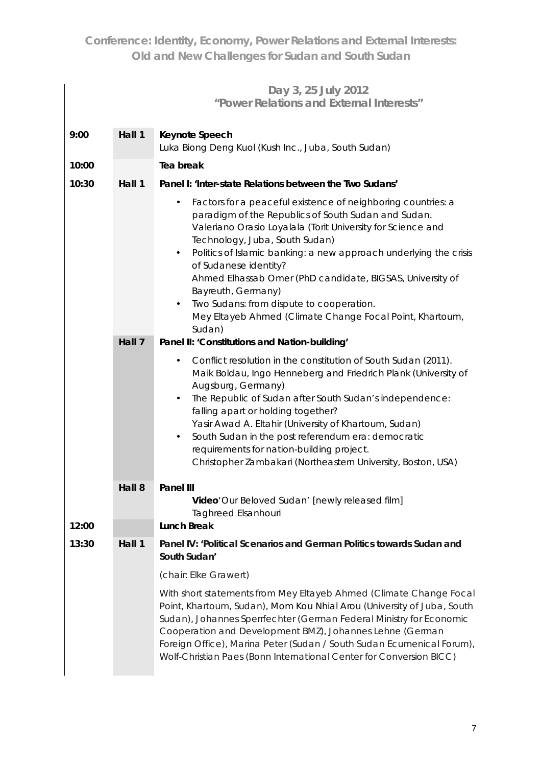|       |        | Day 3, 25 July 2012<br>"Power Relations and External Interests"                                                                                                                                                                                                                                                                                                                                                                                                                                                                                                |
|-------|--------|----------------------------------------------------------------------------------------------------------------------------------------------------------------------------------------------------------------------------------------------------------------------------------------------------------------------------------------------------------------------------------------------------------------------------------------------------------------------------------------------------------------------------------------------------------------|
| 9:00  | Hall 1 | Keynote Speech<br>Luka Biong Deng Kuol (Kush Inc., Juba, South Sudan)                                                                                                                                                                                                                                                                                                                                                                                                                                                                                          |
| 10:00 |        | Tea break                                                                                                                                                                                                                                                                                                                                                                                                                                                                                                                                                      |
| 10:30 | Hall 1 | Panel I: 'Inter-state Relations between the Two Sudans'                                                                                                                                                                                                                                                                                                                                                                                                                                                                                                        |
|       |        | Factors for a peaceful existence of neighboring countries: a<br>$\bullet$<br>paradigm of the Republics of South Sudan and Sudan.<br>Valeriano Orasio Loyalala (Torit University for Science and<br>Technology, Juba, South Sudan)<br>Politics of Islamic banking: a new approach underlying the crisis<br>$\bullet$<br>of Sudanese identity?<br>Ahmed Elhassab Omer (PhD candidate, BIGSAS, University of<br>Bayreuth, Germany)<br>Two Sudans: from dispute to cooperation.<br>$\bullet$<br>Mey Eltayeb Ahmed (Climate Change Focal Point, Khartoum,<br>Sudan) |
|       | Hall 7 | Panel II: 'Constitutions and Nation-building'<br>Conflict resolution in the constitution of South Sudan (2011).<br>Maik Boldau, Ingo Henneberg and Friedrich Plank (University of<br>Augsburg, Germany)<br>The Republic of Sudan after South Sudan's independence:<br>falling apart or holding together?<br>Yasir Awad A. Eltahir (University of Khartoum, Sudan)<br>South Sudan in the post referendum era: democratic<br>requirements for nation-building project.<br>Christopher Zambakari (Northeastern University, Boston, USA)                           |
|       | Hall 8 | Panel III<br>Video'Our Beloved Sudan' [newly released film]<br><b>Taghreed Elsanhouri</b>                                                                                                                                                                                                                                                                                                                                                                                                                                                                      |
| 12:00 |        | Lunch Break                                                                                                                                                                                                                                                                                                                                                                                                                                                                                                                                                    |
| 13:30 | Hall 1 | Panel IV: 'Political Scenarios and German Politics towards Sudan and<br>South Sudan'                                                                                                                                                                                                                                                                                                                                                                                                                                                                           |
|       |        | (chair: Elke Grawert)                                                                                                                                                                                                                                                                                                                                                                                                                                                                                                                                          |
|       |        | With short statements from Mey Eltayeb Ahmed (Climate Change Focal<br>Point, Khartoum, Sudan), Mom Kou Nhial Arou (University of Juba, South<br>Sudan), Johannes Sperrfechter (German Federal Ministry for Economic<br>Cooperation and Development BMZ), Johannes Lehne (German<br>Foreign Office), Marina Peter (Sudan / South Sudan Ecumenical Forum),<br>Wolf-Christian Paes (Bonn International Center for Conversion BICC)                                                                                                                                |